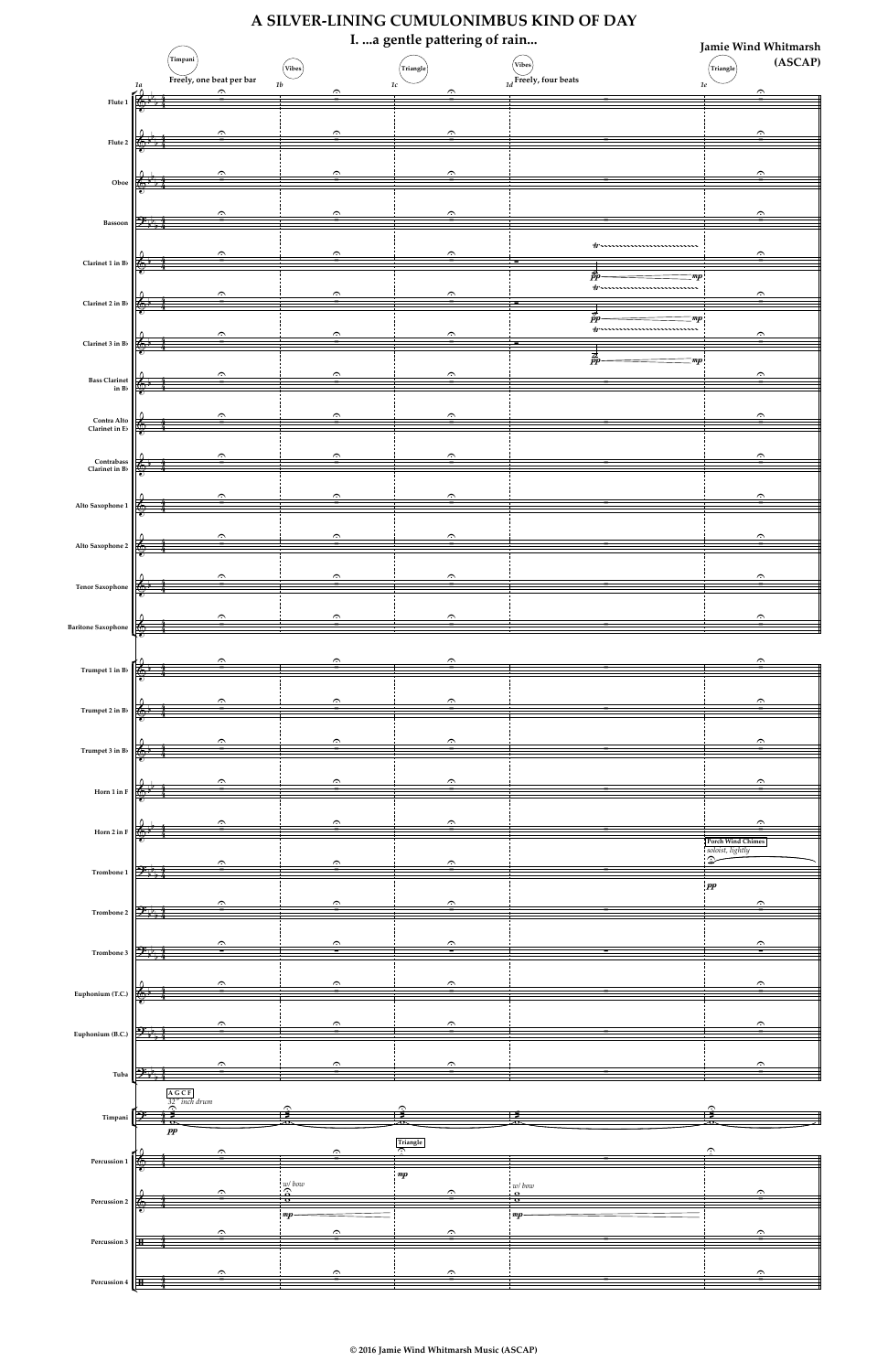

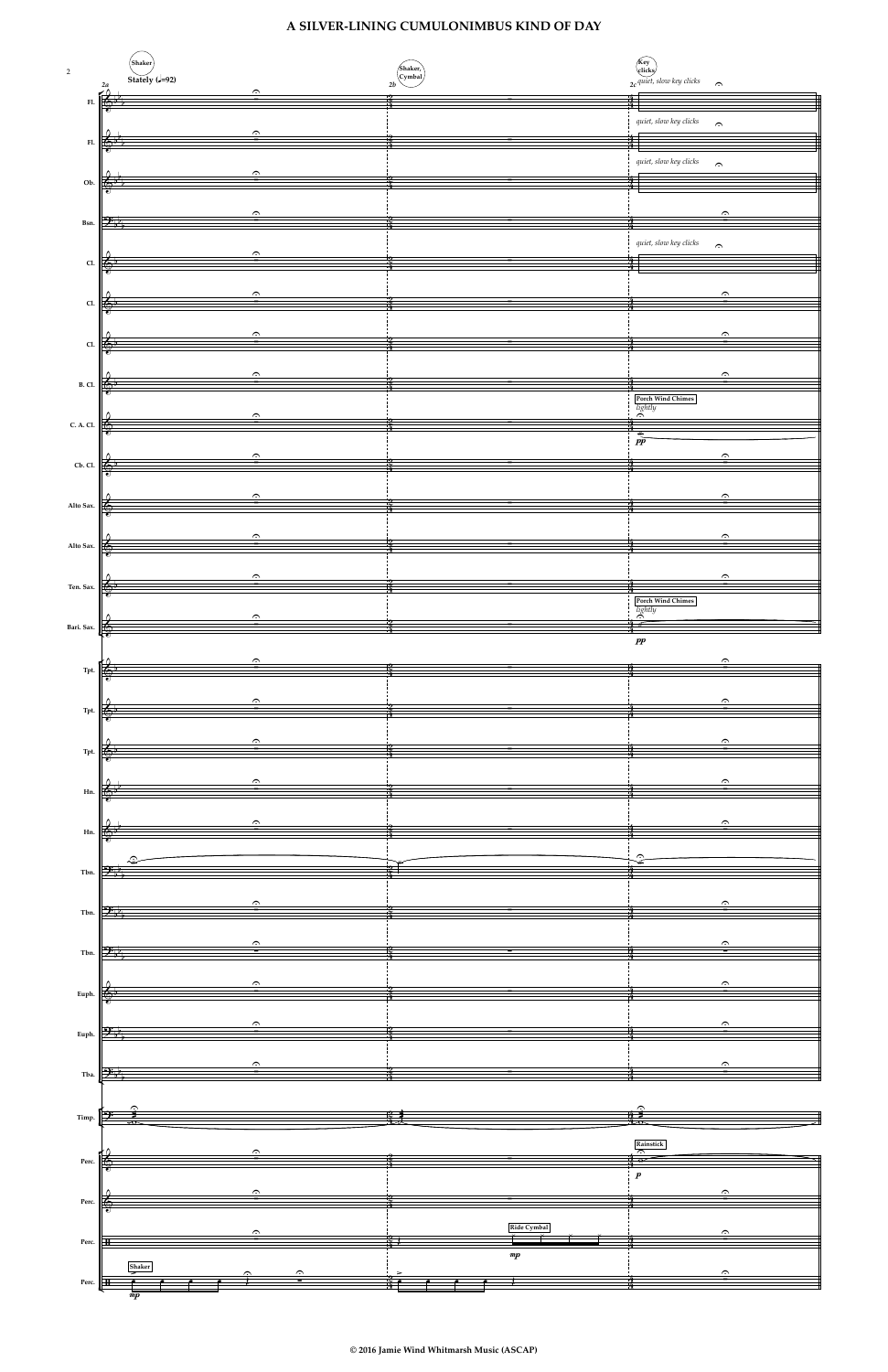

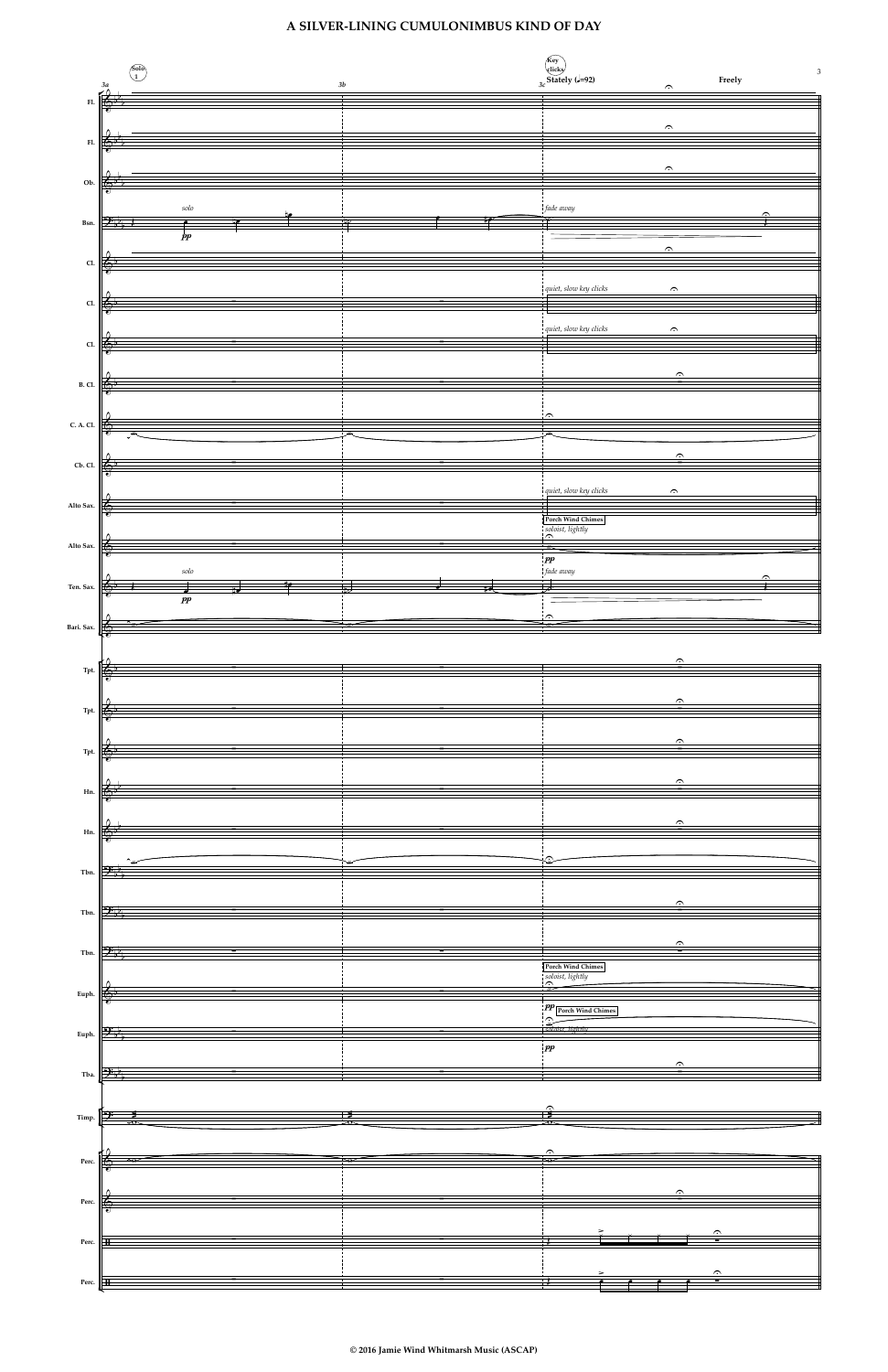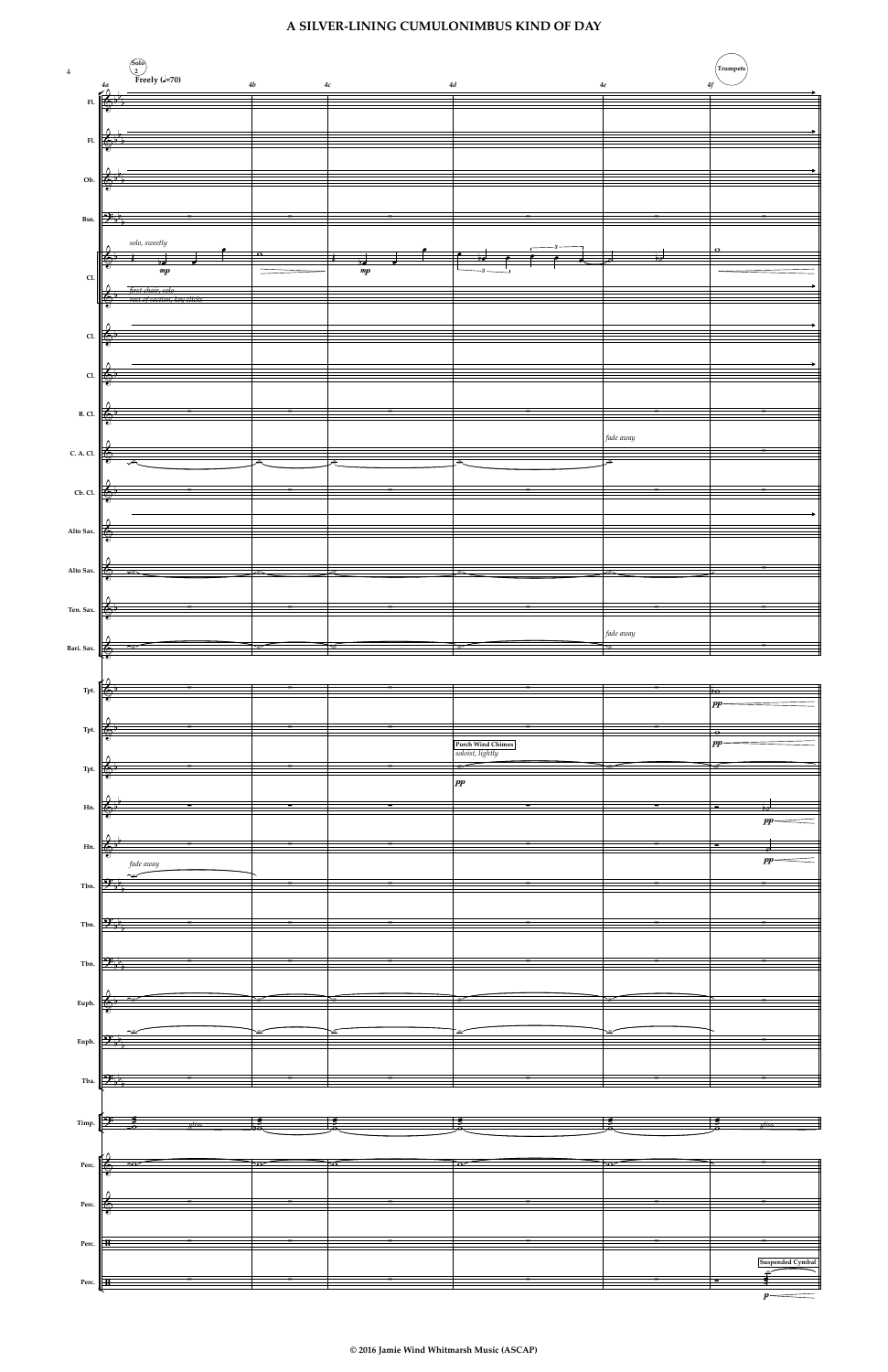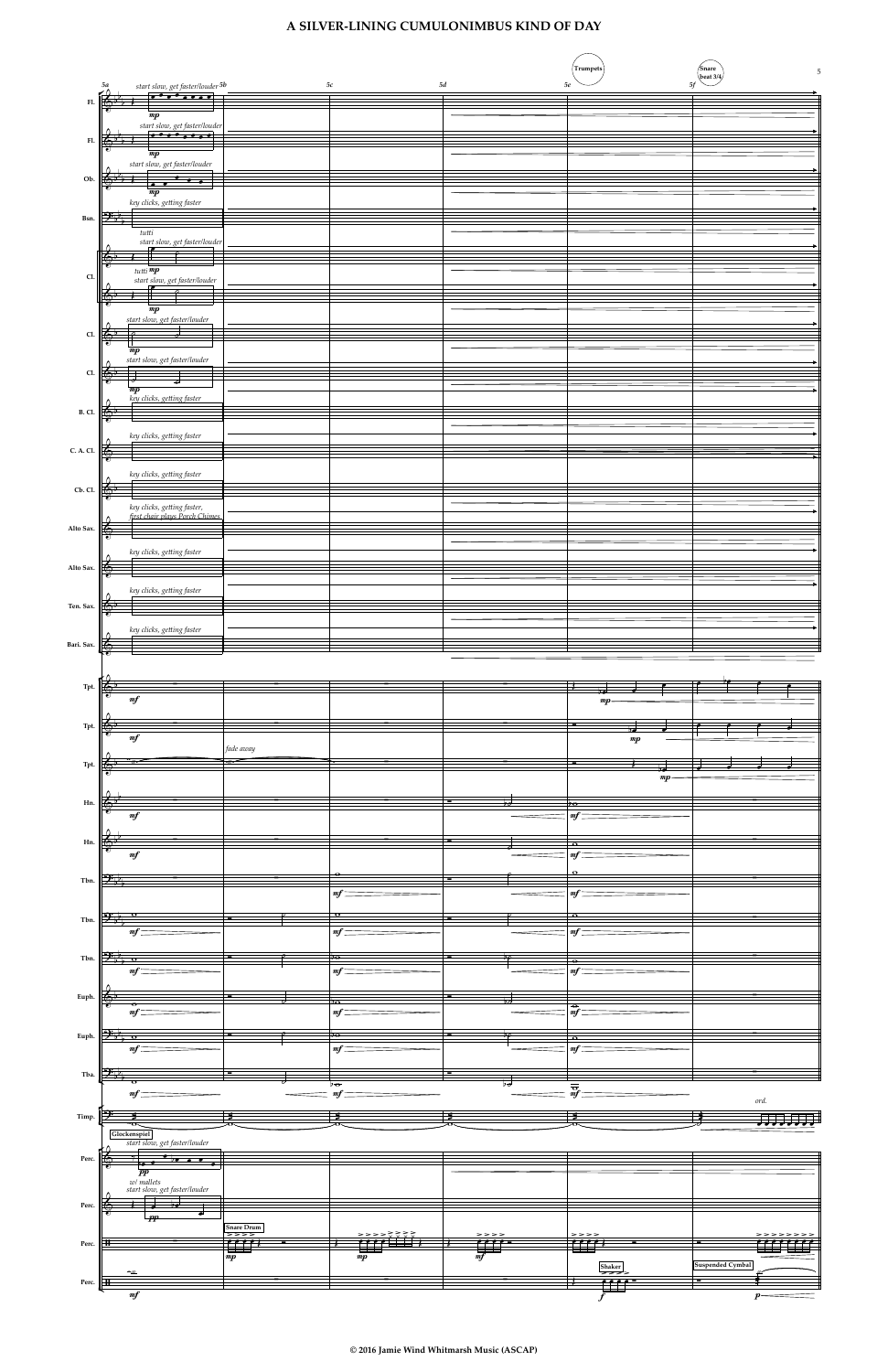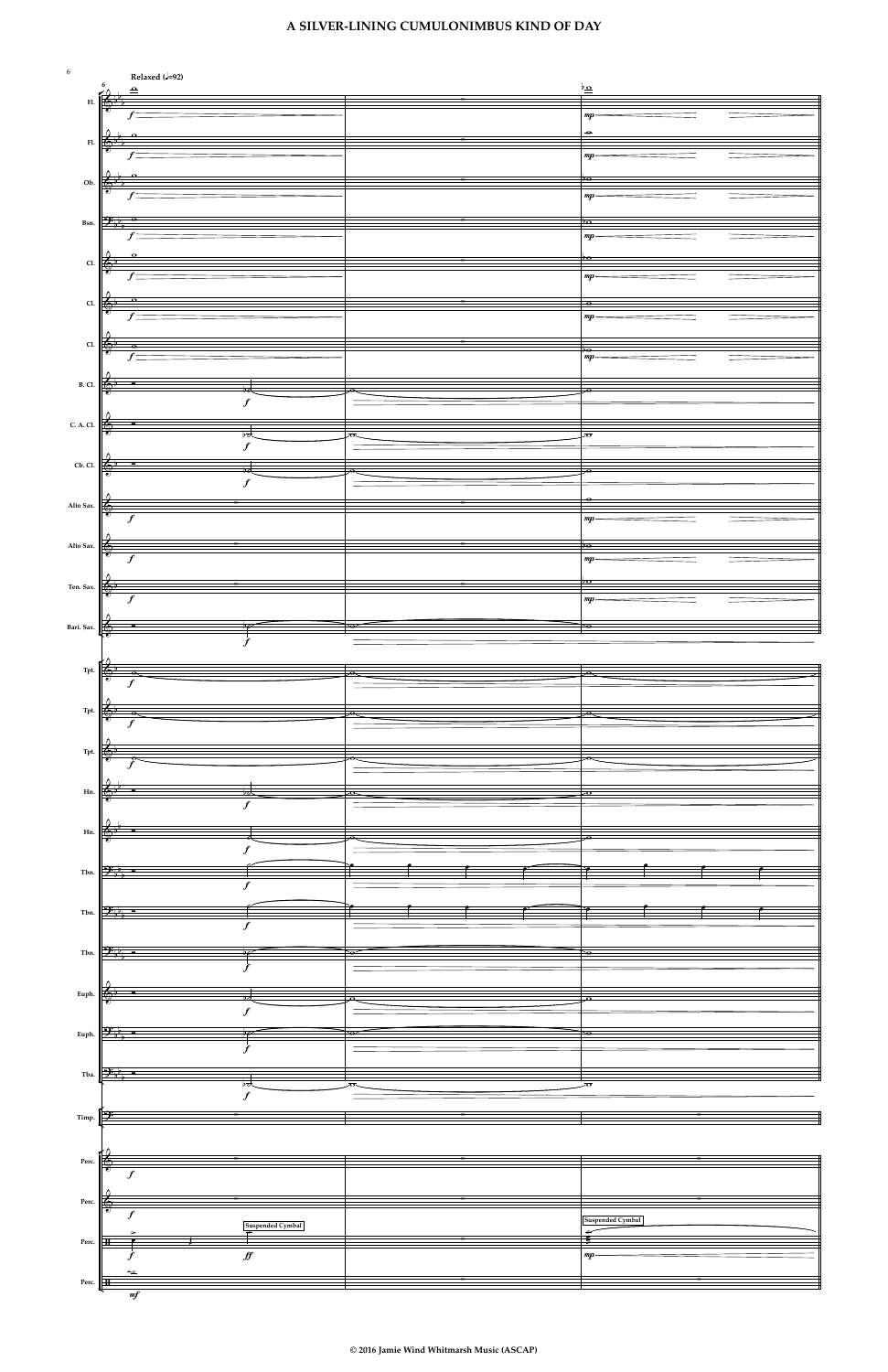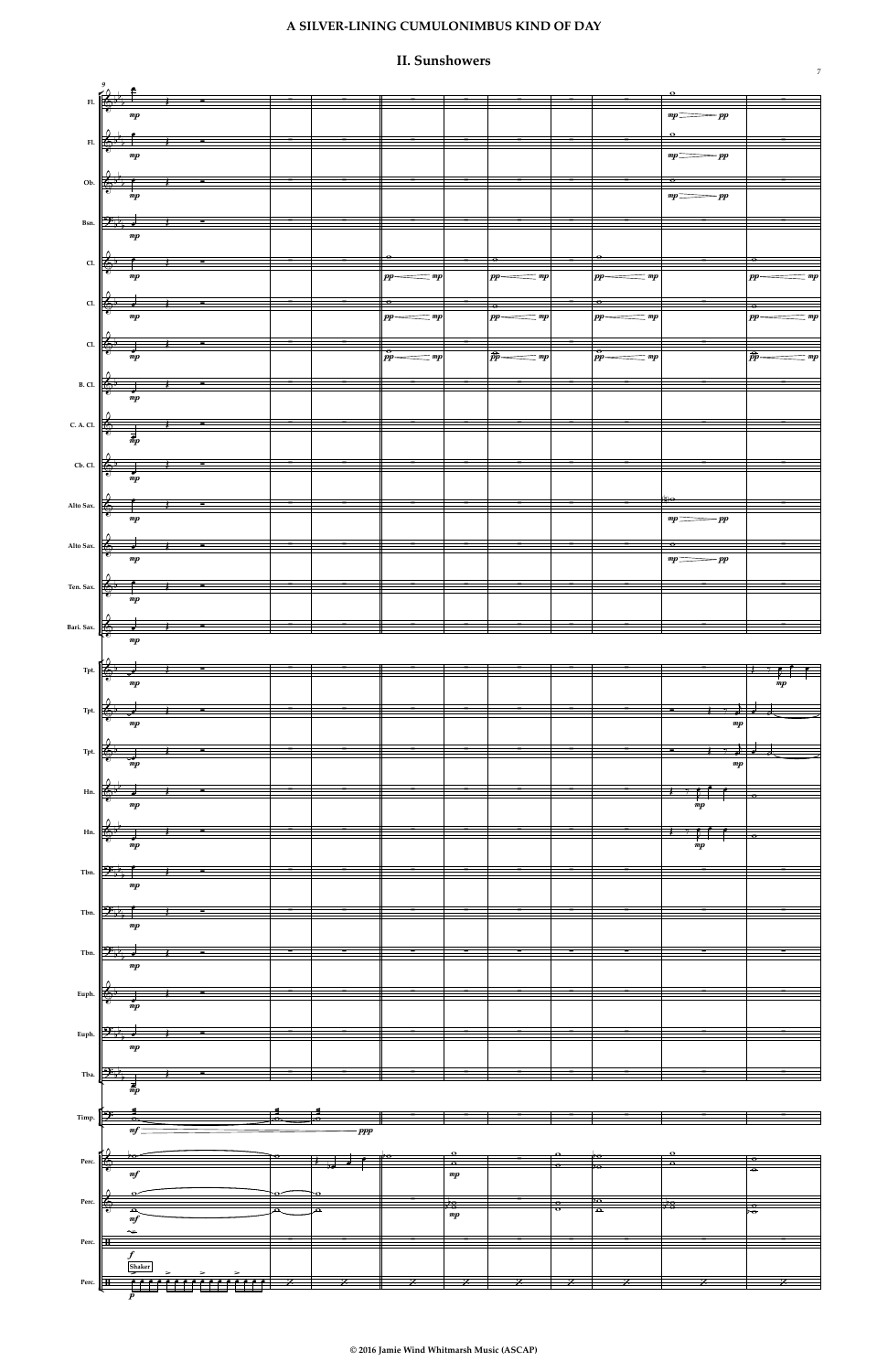# **II. Sunshowers**

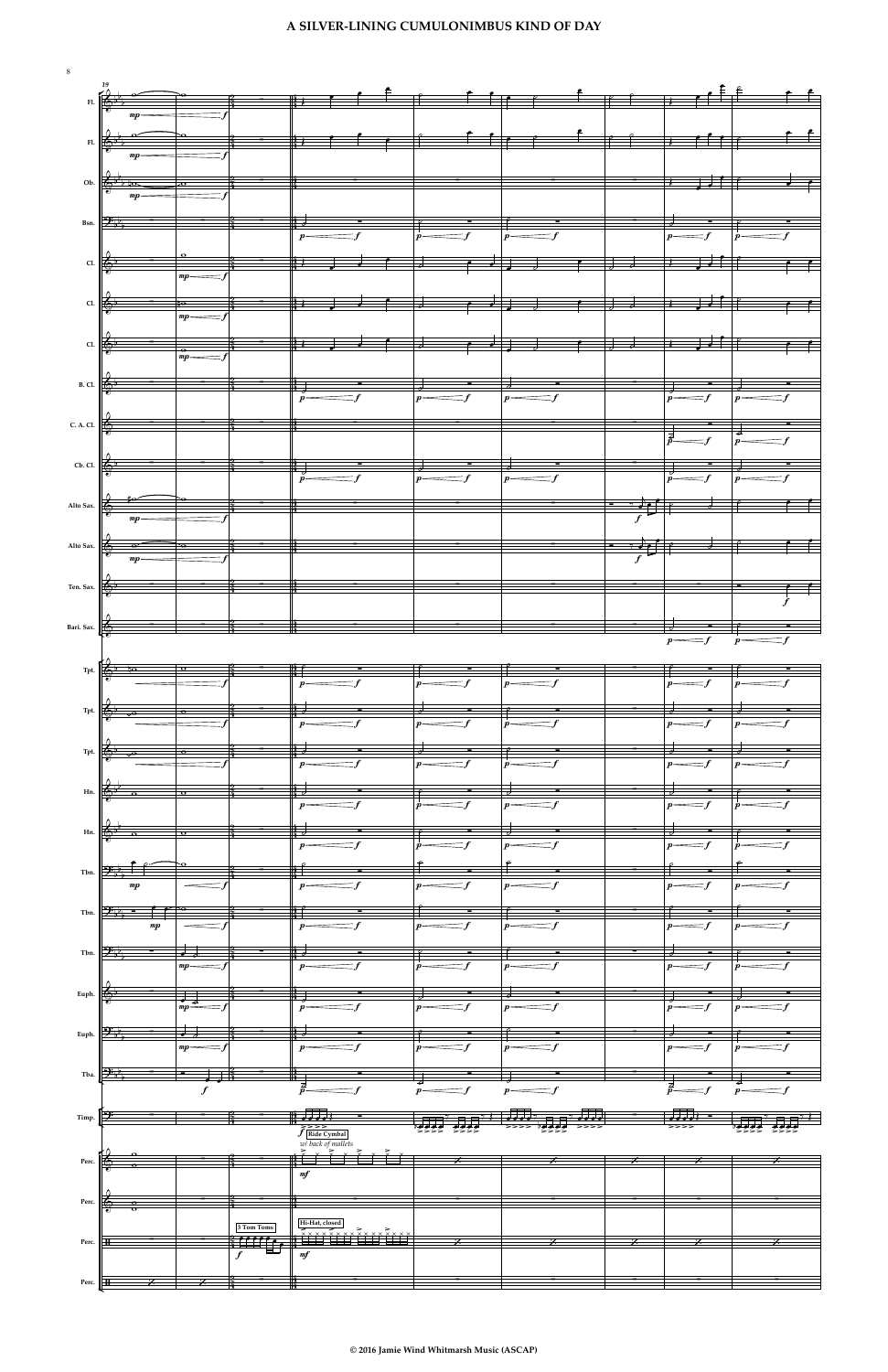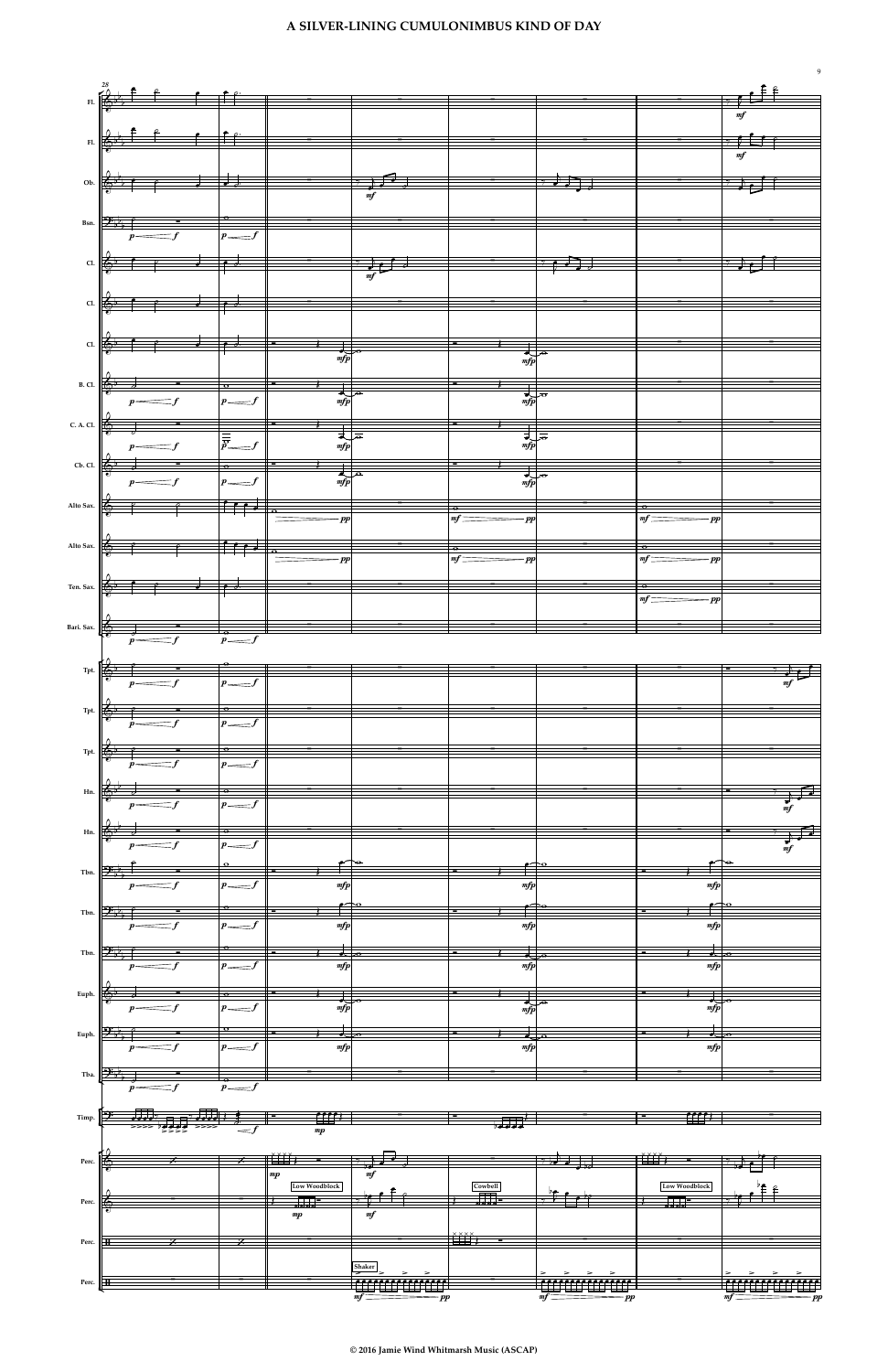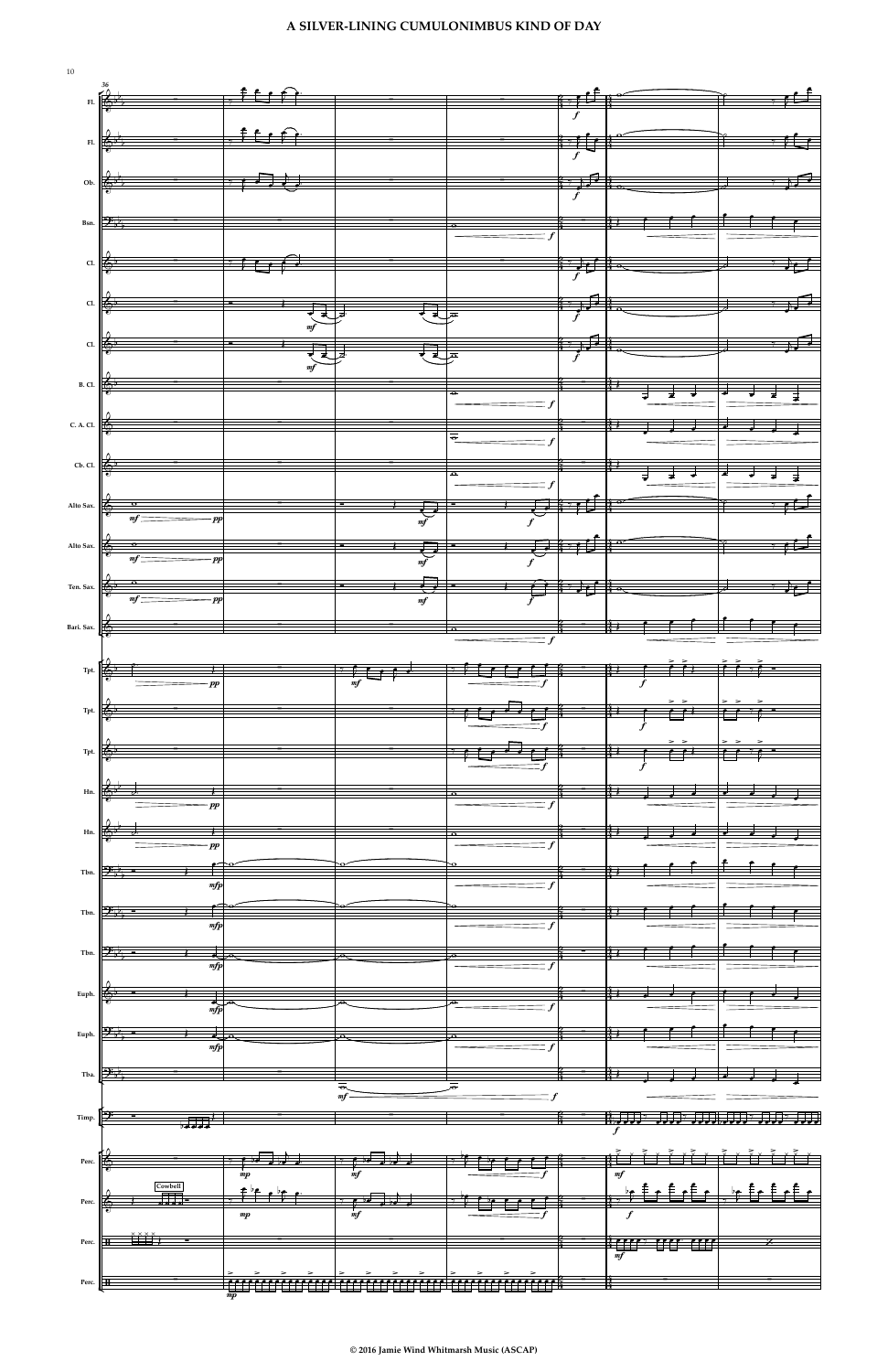

10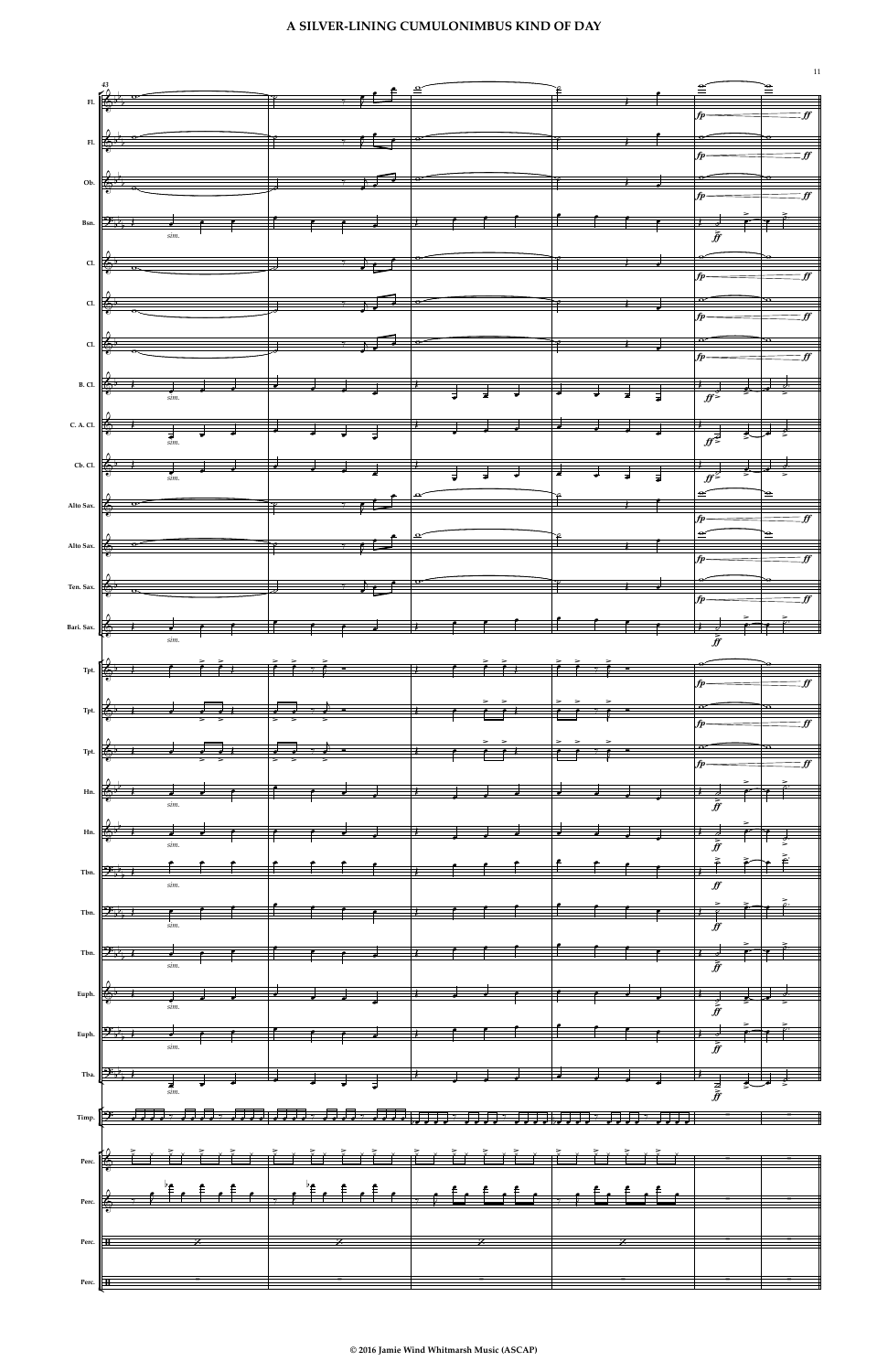